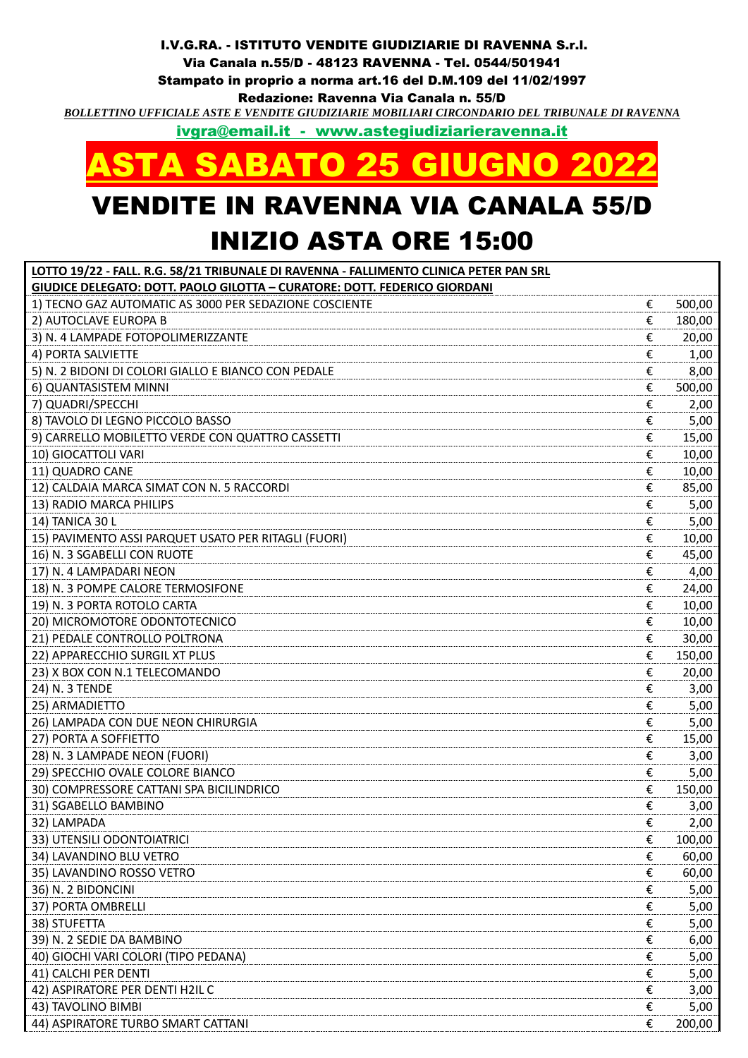## I.V.G.RA. - ISTITUTO VENDITE GIUDIZIARIE DI RAVENNA S.r.l. Via Canala n.55/D - 48123 RAVENNA - Tel. 0544/501941 Stampato in proprio a norma art.16 del D.M.109 del 11/02/1997 Redazione: Ravenna Via Canala n. 55/D *BOLLETTINO UFFICIALE ASTE E VENDITE GIUDIZIARIE MOBILIARI CIRCONDARIO DEL TRIBUNALE DI RAVENNA*

[ivgra@email.it](mailto:ivgra@email.it) - www.astegiudiziarieravenna.it



## VENDITE IN RAVENNA VIA CANALA 55/D INIZIO ASTA ORE 15:00

| LOTTO 19/22 - FALL. R.G. 58/21 TRIBUNALE DI RAVENNA - FALLIMENTO CLINICA PETER PAN SRL |   |        |
|----------------------------------------------------------------------------------------|---|--------|
| GIUDICE DELEGATO: DOTT. PAOLO GILOTTA - CURATORE: DOTT. FEDERICO GIORDANI              |   |        |
| 1) TECNO GAZ AUTOMATIC AS 3000 PER SEDAZIONE COSCIENTE                                 | € | 500,00 |
| 2) AUTOCLAVE EUROPA B                                                                  | € | 180,00 |
| 3) N. 4 LAMPADE FOTOPOLIMERIZZANTE                                                     | € | 20,00  |
| 4) PORTA SALVIETTE                                                                     | € | 1,00   |
| 5) N. 2 BIDONI DI COLORI GIALLO E BIANCO CON PEDALE                                    | € | 8,00   |
| 6) QUANTASISTEM MINNI                                                                  | € | 500,00 |
| 7) QUADRI/SPECCHI                                                                      | € | 2,00   |
| 8) TAVOLO DI LEGNO PICCOLO BASSO                                                       | € | 5,00   |
| 9) CARRELLO MOBILETTO VERDE CON QUATTRO CASSETTI                                       | € | 15,00  |
| 10) GIOCATTOLI VARI                                                                    | € | 10,00  |
| 11) QUADRO CANE                                                                        | € | 10,00  |
| 12) CALDAIA MARCA SIMAT CON N. 5 RACCORDI                                              | € | 85,00  |
| 13) RADIO MARCA PHILIPS                                                                | € | 5,00   |
| 14) TANICA 30 L                                                                        | € | 5,00   |
| 15) PAVIMENTO ASSI PARQUET USATO PER RITAGLI (FUORI)                                   | € | 10,00  |
| 16) N. 3 SGABELLI CON RUOTE                                                            | € | 45,00  |
| 17) N. 4 LAMPADARI NEON                                                                | € | 4,00   |
| 18) N. 3 POMPE CALORE TERMOSIFONE                                                      | € | 24,00  |
| 19) N. 3 PORTA ROTOLO CARTA                                                            | € | 10,00  |
| 20) MICROMOTORE ODONTOTECNICO                                                          | € | 10,00  |
| 21) PEDALE CONTROLLO POLTRONA                                                          | € | 30,00  |
| 22) APPARECCHIO SURGIL XT PLUS                                                         | € | 150,00 |
| 23) X BOX CON N.1 TELECOMANDO                                                          | € | 20,00  |
| 24) N. 3 TENDE                                                                         | € | 3,00   |
| 25) ARMADIETTO                                                                         | € | 5,00   |
| 26) LAMPADA CON DUE NEON CHIRURGIA                                                     | € | 5,00   |
| 27) PORTA A SOFFIETTO                                                                  | € | 15,00  |
| 28) N. 3 LAMPADE NEON (FUORI)                                                          | € | 3,00   |
| 29) SPECCHIO OVALE COLORE BIANCO                                                       | € | 5,00   |
| 30) COMPRESSORE CATTANI SPA BICILINDRICO                                               | € | 150,00 |
| 31) SGABELLO BAMBINO                                                                   | € | 3,00   |
| 32) LAMPADA                                                                            | € | 2,00   |
| 33) UTENSILI ODONTOIATRICI                                                             | € | 100,00 |
| 34) LAVANDINO BLU VETRO                                                                | € | 60,00  |
| 35) LAVANDINO ROSSO VETRO                                                              | € | 60,00  |
| 36) N. 2 BIDONCINI                                                                     | € | 5,00   |
| 37) PORTA OMBRELLI                                                                     | € | 5,00   |
| 38) STUFETTA                                                                           | € | 5,00   |
| 39) N. 2 SEDIE DA BAMBINO                                                              | € | 6,00   |
| 40) GIOCHI VARI COLORI (TIPO PEDANA)                                                   | € | 5,00   |
| 41) CALCHI PER DENTI                                                                   | € | 5,00   |
| 42) ASPIRATORE PER DENTI H2IL C                                                        | € | 3,00   |
| 43) TAVOLINO BIMBI                                                                     | € | 5,00   |
| 44) ASPIRATORE TURBO SMART CATTANI                                                     | € | 200,00 |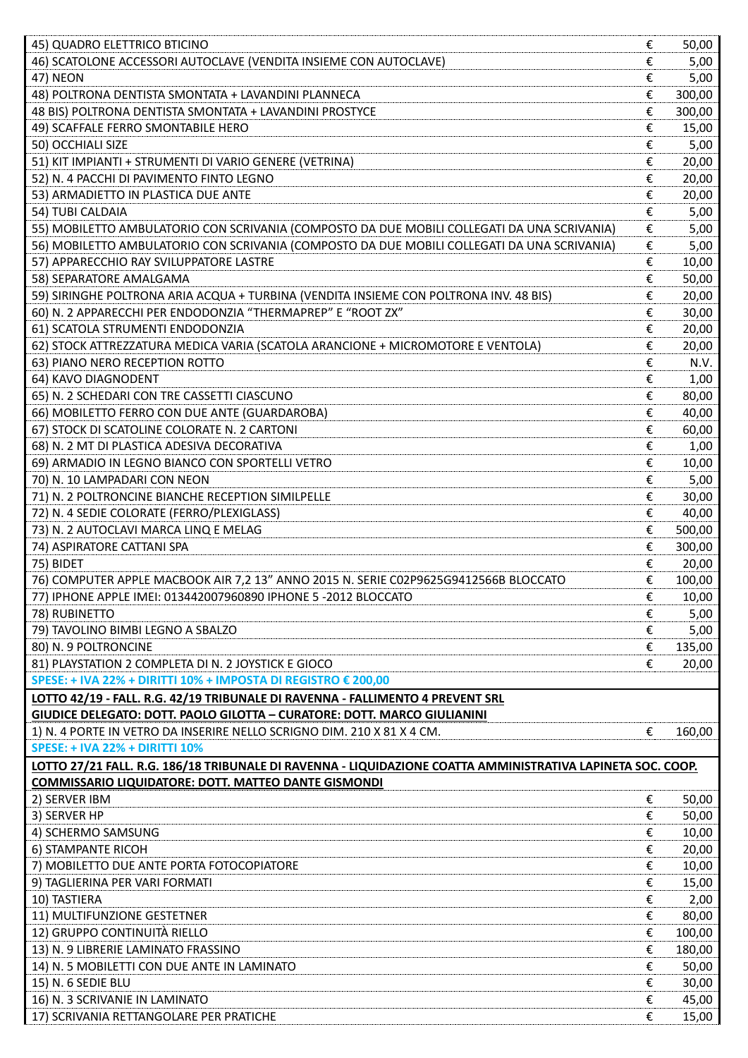| 45) QUADRO ELETTRICO BTICINO                                                                                    | € | 50,00  |
|-----------------------------------------------------------------------------------------------------------------|---|--------|
| 46) SCATOLONE ACCESSORI AUTOCLAVE (VENDITA INSIEME CON AUTOCLAVE)                                               | € | 5,00   |
| <b>47) NEON</b>                                                                                                 | € | 5,00   |
| 48) POLTRONA DENTISTA SMONTATA + LAVANDINI PLANNECA                                                             | € | 300,00 |
| 48 BIS) POLTRONA DENTISTA SMONTATA + LAVANDINI PROSTYCE                                                         | € | 300,00 |
| 49) SCAFFALE FERRO SMONTABILE HERO                                                                              | € | 15,00  |
| 50) OCCHIALI SIZE                                                                                               | € | 5,00   |
| 51) KIT IMPIANTI + STRUMENTI DI VARIO GENERE (VETRINA)                                                          | € | 20,00  |
| 52) N. 4 PACCHI DI PAVIMENTO FINTO LEGNO                                                                        | € | 20,00  |
| 53) ARMADIETTO IN PLASTICA DUE ANTE                                                                             | € | 20,00  |
| 54) TUBI CALDAIA                                                                                                | € | 5,00   |
| 55) MOBILETTO AMBULATORIO CON SCRIVANIA (COMPOSTO DA DUE MOBILI COLLEGATI DA UNA SCRIVANIA)                     | € | 5,00   |
| 56) MOBILETTO AMBULATORIO CON SCRIVANIA (COMPOSTO DA DUE MOBILI COLLEGATI DA UNA SCRIVANIA)                     | € | 5,00   |
| 57) APPARECCHIO RAY SVILUPPATORE LASTRE                                                                         | € | 10,00  |
| 58) SEPARATORE AMALGAMA                                                                                         | € | 50,00  |
| 59) SIRINGHE POLTRONA ARIA ACQUA + TURBINA (VENDITA INSIEME CON POLTRONA INV. 48 BIS)                           | € | 20,00  |
| 60) N. 2 APPARECCHI PER ENDODONZIA "THERMAPREP" E "ROOT ZX"                                                     | € | 30,00  |
| 61) SCATOLA STRUMENTI ENDODONZIA                                                                                | € | 20,00  |
| 62) STOCK ATTREZZATURA MEDICA VARIA (SCATOLA ARANCIONE + MICROMOTORE E VENTOLA)                                 | € | 20,00  |
| 63) PIANO NERO RECEPTION ROTTO                                                                                  | € | N.V.   |
| 64) KAVO DIAGNODENT                                                                                             | € | 1,00   |
| 65) N. 2 SCHEDARI CON TRE CASSETTI CIASCUNO                                                                     | € | 80,00  |
| 66) MOBILETTO FERRO CON DUE ANTE (GUARDAROBA)                                                                   | € | 40,00  |
| 67) STOCK DI SCATOLINE COLORATE N. 2 CARTONI                                                                    | € | 60,00  |
| 68) N. 2 MT DI PLASTICA ADESIVA DECORATIVA                                                                      | € | 1,00   |
| 69) ARMADIO IN LEGNO BIANCO CON SPORTELLI VETRO                                                                 | € | 10,00  |
| 70) N. 10 LAMPADARI CON NEON                                                                                    | € | 5,00   |
| 71) N. 2 POLTRONCINE BIANCHE RECEPTION SIMILPELLE                                                               | € | 30,00  |
| 72) N. 4 SEDIE COLORATE (FERRO/PLEXIGLASS)                                                                      | € | 40,00  |
| 73) N. 2 AUTOCLAVI MARCA LINQ E MELAG                                                                           | € | 500,00 |
| 74) ASPIRATORE CATTANI SPA                                                                                      | € | 300,00 |
| 75) BIDET                                                                                                       | € | 20,00  |
| 76) COMPUTER APPLE MACBOOK AIR 7,2 13" ANNO 2015 N. SERIE C02P9625G9412566B BLOCCATO                            | € | 100,00 |
| 77) IPHONE APPLE IMEI: 013442007960890 IPHONE 5 -2012 BLOCCATO                                                  | € | 10,00  |
| 78) RUBINETTO                                                                                                   | € | 5,00   |
| 79) TAVOLINO BIMBI LEGNO A SBALZO                                                                               | € | 5,00   |
| 80) N. 9 POLTRONCINE                                                                                            | € | 135,00 |
| 81) PLAYSTATION 2 COMPLETA DI N. 2 JOYSTICK E GIOCO                                                             | € | 20,00  |
| SPESE: + IVA 22% + DIRITTI 10% + IMPOSTA DI REGISTRO € 200,00                                                   |   |        |
|                                                                                                                 |   |        |
| LOTTO 42/19 - FALL. R.G. 42/19 TRIBUNALE DI RAVENNA - FALLIMENTO 4 PREVENT SRL                                  |   |        |
| GIUDICE DELEGATO: DOTT. PAOLO GILOTTA - CURATORE: DOTT. MARCO GIULIANINI                                        |   |        |
| 1) N. 4 PORTE IN VETRO DA INSERIRE NELLO SCRIGNO DIM. 210 X 81 X 4 CM.<br><b>SPESE: + IVA 22% + DIRITTI 10%</b> | € | 160,00 |
|                                                                                                                 |   |        |
| LOTTO 27/21 FALL. R.G. 186/18 TRIBUNALE DI RAVENNA - LIQUIDAZIONE COATTA AMMINISTRATIVA LAPINETA SOC. COOP.     |   |        |
| COMMISSARIO LIQUIDATORE: DOTT. MATTEO DANTE GISMONDI                                                            |   |        |
| 2) SERVER IBM                                                                                                   | € | 50,00  |
| 3) SERVER HP                                                                                                    | € | 50,00  |
| 4) SCHERMO SAMSUNG                                                                                              | € | 10,00  |
| 6) STAMPANTE RICOH                                                                                              | € | 20,00  |
| 7) MOBILETTO DUE ANTE PORTA FOTOCOPIATORE                                                                       | € | 10,00  |
| 9) TAGLIERINA PER VARI FORMATI                                                                                  | € | 15,00  |
| 10) TASTIERA                                                                                                    | € | 2,00   |
| 11) MULTIFUNZIONE GESTETNER                                                                                     | € | 80,00  |
| 12) GRUPPO CONTINUITÀ RIELLO                                                                                    | € | 100,00 |
| 13) N. 9 LIBRERIE LAMINATO FRASSINO                                                                             | € | 180,00 |
| 14) N. 5 MOBILETTI CON DUE ANTE IN LAMINATO                                                                     | € | 50,00  |
| 15) N. 6 SEDIE BLU                                                                                              | € | 30,00  |
| 16) N. 3 SCRIVANIE IN LAMINATO                                                                                  | € | 45,00  |
| 17) SCRIVANIA RETTANGOLARE PER PRATICHE                                                                         | € | 15,00  |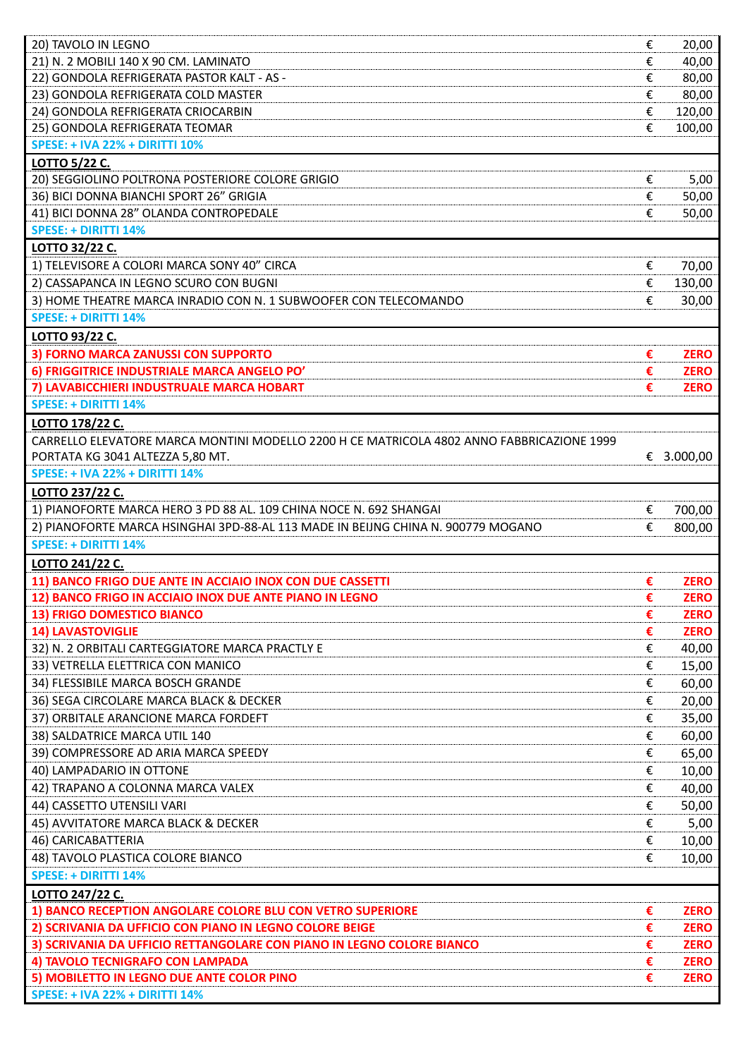| 20) TAVOLO IN LEGNO                                                                       | € | 20,00       |
|-------------------------------------------------------------------------------------------|---|-------------|
| 21) N. 2 MOBILI 140 X 90 CM. LAMINATO                                                     | € | 40,00       |
| 22) GONDOLA REFRIGERATA PASTOR KALT - AS -                                                | € | 80,00       |
| 23) GONDOLA REFRIGERATA COLD MASTER                                                       | € | 80,00       |
| 24) GONDOLA REFRIGERATA CRIOCARBIN                                                        | € | 120,00      |
| 25) GONDOLA REFRIGERATA TEOMAR                                                            | € | 100,00      |
| <b>SPESE: + IVA 22% + DIRITTI 10%</b>                                                     |   |             |
| LOTTO 5/22 C.                                                                             |   |             |
| 20) SEGGIOLINO POLTRONA POSTERIORE COLORE GRIGIO                                          | € | 5,00        |
| 36) BICI DONNA BIANCHI SPORT 26" GRIGIA                                                   | € | 50,00       |
| 41) BICI DONNA 28" OLANDA CONTROPEDALE                                                    | € |             |
|                                                                                           |   | 50,00       |
| <b>SPESE: + DIRITTI 14%</b>                                                               |   |             |
| LOTTO 32/22 C.                                                                            |   |             |
| 1) TELEVISORE A COLORI MARCA SONY 40" CIRCA                                               | € | 70,00       |
| 2) CASSAPANCA IN LEGNO SCURO CON BUGNI                                                    | € | 130,00      |
| 3) HOME THEATRE MARCA INRADIO CON N. 1 SUBWOOFER CON TELECOMANDO                          | € | 30,00       |
| <b>SPESE: + DIRITTI 14%</b>                                                               |   |             |
| LOTTO 93/22 C.                                                                            |   |             |
| 3) FORNO MARCA ZANUSSI CON SUPPORTO                                                       | € | <b>ZERO</b> |
| 6) FRIGGITRICE INDUSTRIALE MARCA ANGELO PO'                                               | € | <b>ZERO</b> |
| 7) LAVABICCHIERI INDUSTRUALE MARCA HOBART                                                 | € | <b>ZERO</b> |
| <b>SPESE: + DIRITTI 14%</b>                                                               |   |             |
| LOTTO 178/22 C.                                                                           |   |             |
| CARRELLO ELEVATORE MARCA MONTINI MODELLO 2200 H CE MATRICOLA 4802 ANNO FABBRICAZIONE 1999 |   |             |
| PORTATA KG 3041 ALTEZZA 5,80 MT.                                                          |   | € 3.000,00  |
| <b>SPESE: + IVA 22% + DIRITTI 14%</b>                                                     |   |             |
|                                                                                           |   |             |
| LOTTO 237/22 C.                                                                           |   |             |
| 1) PIANOFORTE MARCA HERO 3 PD 88 AL. 109 CHINA NOCE N. 692 SHANGAI                        | € | 700,00      |
| 2) PIANOFORTE MARCA HSINGHAI 3PD-88-AL 113 MADE IN BEIJNG CHINA N. 900779 MOGANO          | € | 800,00      |
| <b>SPESE: + DIRITTI 14%</b>                                                               |   |             |
| LOTTO 241/22 C.                                                                           |   |             |
| 11) BANCO FRIGO DUE ANTE IN ACCIAIO INOX CON DUE CASSETTI                                 | € | <b>ZERO</b> |
| 12) BANCO FRIGO IN ACCIAIO INOX DUE ANTE PIANO IN LEGNO                                   | € | <b>ZERO</b> |
| <b>13) FRIGO DOMESTICO BIANCO</b>                                                         | € | <b>ZERO</b> |
| <b>14) LAVASTOVIGLIE</b>                                                                  | € | <b>ZERO</b> |
|                                                                                           |   |             |
| 32) N. 2 ORBITALI CARTEGGIATORE MARCA PRACTLY E                                           | € | 40,00       |
| 33) VETRELLA ELETTRICA CON MANICO                                                         | € | 15,00       |
| 34) FLESSIBILE MARCA BOSCH GRANDE                                                         | € | 60,00       |
|                                                                                           | € |             |
| 36) SEGA CIRCOLARE MARCA BLACK & DECKER                                                   |   | 20,00       |
| 37) ORBITALE ARANCIONE MARCA FORDEFT                                                      | € | 35,00       |
| 38) SALDATRICE MARCA UTIL 140                                                             | € | 60,00       |
| 39) COMPRESSORE AD ARIA MARCA SPEEDY                                                      | € | 65,00       |
| 40) LAMPADARIO IN OTTONE                                                                  | € | 10,00       |
| 42) TRAPANO A COLONNA MARCA VALEX                                                         | € | 40,00       |
| 44) CASSETTO UTENSILI VARI                                                                | € | 50,00       |
| 45) AVVITATORE MARCA BLACK & DECKER                                                       | € | 5,00        |
| 46) CARICABATTERIA                                                                        | € | 10,00       |
| 48) TAVOLO PLASTICA COLORE BIANCO                                                         | € | 10,00       |
| <b>SPESE: + DIRITTI 14%</b>                                                               |   |             |
| LOTTO 247/22 C.                                                                           |   |             |
| 1) BANCO RECEPTION ANGOLARE COLORE BLU CON VETRO SUPERIORE                                | € | <b>ZERO</b> |
| 2) SCRIVANIA DA UFFICIO CON PIANO IN LEGNO COLORE BEIGE                                   | € | <b>ZERO</b> |
| 3) SCRIVANIA DA UFFICIO RETTANGOLARE CON PIANO IN LEGNO COLORE BIANCO                     | € | <b>ZERO</b> |
| 4) TAVOLO TECNIGRAFO CON LAMPADA                                                          | € | <b>ZERO</b> |
| 5) MOBILETTO IN LEGNO DUE ANTE COLOR PINO                                                 | € | <b>ZERO</b> |